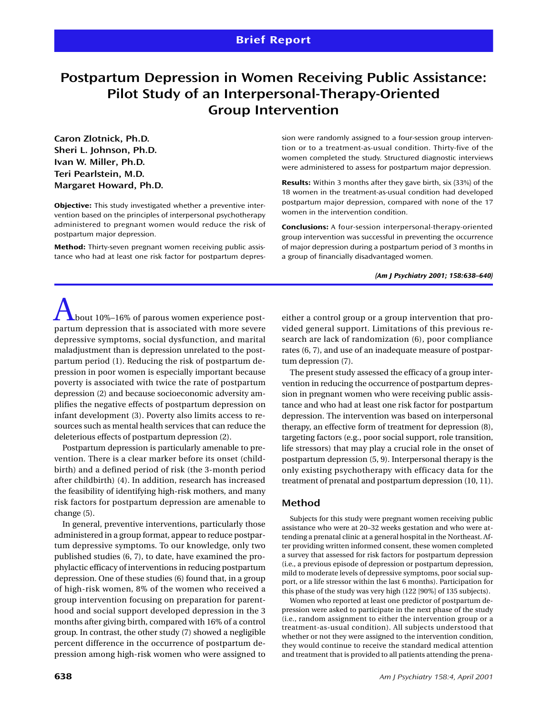# **Postpartum Depression in Women Receiving Public Assistance: Pilot Study of an Interpersonal-Therapy-Oriented Group Intervention**

**Caron Zlotnick, Ph.D. Sheri L. Johnson, Ph.D. Ivan W. Miller, Ph.D. Teri Pearlstein, M.D. Margaret Howard, Ph.D.**

**Objective:** This study investigated whether a preventive intervention based on the principles of interpersonal psychotherapy administered to pregnant women would reduce the risk of postpartum major depression.

**Method:** Thirty-seven pregnant women receiving public assistance who had at least one risk factor for postpartum depression were randomly assigned to a four-session group intervention or to a treatment-as-usual condition. Thirty-five of the women completed the study. Structured diagnostic interviews were administered to assess for postpartum major depression.

**Results:** Within 3 months after they gave birth, six (33%) of the 18 women in the treatment-as-usual condition had developed postpartum major depression, compared with none of the 17 women in the intervention condition.

**Conclusions:** A four-session interpersonal-therapy-oriented group intervention was successful in preventing the occurrence of major depression during a postpartum period of 3 months in a group of financially disadvantaged women.

#### *(Am J Psychiatry 2001; 158:638–640)*

 $\Delta$ bout 10%–16% of parous women experience postpartum depression that is associated with more severe depressive symptoms, social dysfunction, and marital maladjustment than is depression unrelated to the postpartum period (1). Reducing the risk of postpartum depression in poor women is especially important because poverty is associated with twice the rate of postpartum depression (2) and because socioeconomic adversity amplifies the negative effects of postpartum depression on infant development (3). Poverty also limits access to resources such as mental health services that can reduce the deleterious effects of postpartum depression (2).

Postpartum depression is particularly amenable to prevention. There is a clear marker before its onset (childbirth) and a defined period of risk (the 3-month period after childbirth) (4). In addition, research has increased the feasibility of identifying high-risk mothers, and many risk factors for postpartum depression are amenable to change (5).

In general, preventive interventions, particularly those administered in a group format, appear to reduce postpartum depressive symptoms. To our knowledge, only two published studies (6, 7), to date, have examined the prophylactic efficacy of interventions in reducing postpartum depression. One of these studies (6) found that, in a group of high-risk women, 8% of the women who received a group intervention focusing on preparation for parenthood and social support developed depression in the 3 months after giving birth, compared with 16% of a control group. In contrast, the other study (7) showed a negligible percent difference in the occurrence of postpartum depression among high-risk women who were assigned to

either a control group or a group intervention that provided general support. Limitations of this previous research are lack of randomization (6), poor compliance rates (6, 7), and use of an inadequate measure of postpartum depression (7).

The present study assessed the efficacy of a group intervention in reducing the occurrence of postpartum depression in pregnant women who were receiving public assistance and who had at least one risk factor for postpartum depression. The intervention was based on interpersonal therapy, an effective form of treatment for depression (8), targeting factors (e.g., poor social support, role transition, life stressors) that may play a crucial role in the onset of postpartum depression (5, 9). Interpersonal therapy is the only existing psychotherapy with efficacy data for the treatment of prenatal and postpartum depression (10, 11).

## **Method**

Subjects for this study were pregnant women receiving public assistance who were at 20–32 weeks gestation and who were attending a prenatal clinic at a general hospital in the Northeast. After providing written informed consent, these women completed a survey that assessed for risk factors for postpartum depression (i.e., a previous episode of depression or postpartum depression, mild to moderate levels of depressive symptoms, poor social support, or a life stressor within the last 6 months). Participation for this phase of the study was very high (122 [90%] of 135 subjects).

Women who reported at least one predictor of postpartum depression were asked to participate in the next phase of the study (i.e., random assignment to either the intervention group or a treatment-as-usual condition). All subjects understood that whether or not they were assigned to the intervention condition, they would continue to receive the standard medical attention and treatment that is provided to all patients attending the prena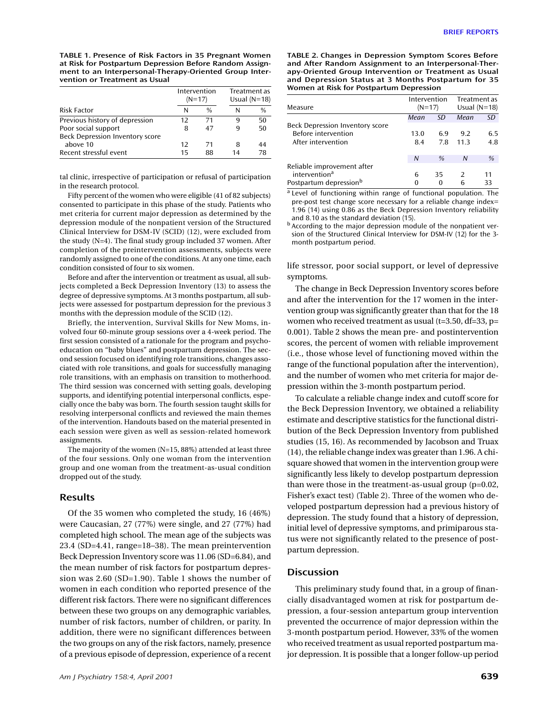**TABLE 1. Presence of Risk Factors in 35 Pregnant Women at Risk for Postpartum Depression Before Random Assignment to an Interpersonal-Therapy-Oriented Group Intervention or Treatment as Usual**

|                                 | Intervention<br>$(N=17)$ |               | Treatment as<br>Usual $(N=18)$ |               |
|---------------------------------|--------------------------|---------------|--------------------------------|---------------|
| Risk Factor                     | N                        | $\frac{0}{0}$ | N                              | $\frac{0}{0}$ |
| Previous history of depression  | 12                       | 71            | q                              | 50            |
| Poor social support             | 8                        | 47            | q                              | 50            |
| Beck Depression Inventory score |                          |               |                                |               |
| above 10                        | 12                       | 71            | 8                              | 44            |
| Recent stressful event          | 15                       | 88            | 14                             | 78            |

tal clinic, irrespective of participation or refusal of participation in the research protocol.

Fifty percent of the women who were eligible (41 of 82 subjects) consented to participate in this phase of the study. Patients who met criteria for current major depression as determined by the depression module of the nonpatient version of the Structured Clinical Interview for DSM-IV (SCID) (12), were excluded from the study (N=4). The final study group included 37 women. After completion of the preintervention assessments, subjects were randomly assigned to one of the conditions. At any one time, each condition consisted of four to six women.

Before and after the intervention or treatment as usual, all subjects completed a Beck Depression Inventory (13) to assess the degree of depressive symptoms. At 3 months postpartum, all subjects were assessed for postpartum depression for the previous 3 months with the depression module of the SCID (12).

Briefly, the intervention, Survival Skills for New Moms, involved four 60-minute group sessions over a 4-week period. The first session consisted of a rationale for the program and psychoeducation on "baby blues" and postpartum depression. The second session focused on identifying role transitions, changes associated with role transitions, and goals for successfully managing role transitions, with an emphasis on transition to motherhood. The third session was concerned with setting goals, developing supports, and identifying potential interpersonal conflicts, especially once the baby was born. The fourth session taught skills for resolving interpersonal conflicts and reviewed the main themes of the intervention. Handouts based on the material presented in each session were given as well as session-related homework assignments.

The majority of the women (N=15, 88%) attended at least three of the four sessions. Only one woman from the intervention group and one woman from the treatment-as-usual condition dropped out of the study.

# **Results**

Of the 35 women who completed the study, 16 (46%) were Caucasian, 27 (77%) were single, and 27 (77%) had completed high school. The mean age of the subjects was 23.4 (SD=4.41, range=18–38). The mean preintervention Beck Depression Inventory score was 11.06 (SD=6.84), and the mean number of risk factors for postpartum depression was 2.60 (SD=1.90). Table 1 shows the number of women in each condition who reported presence of the different risk factors. There were no significant differences between these two groups on any demographic variables, number of risk factors, number of children, or parity. In addition, there were no significant differences between the two groups on any of the risk factors, namely, presence of a previous episode of depression, experience of a recent **TABLE 2. Changes in Depression Symptom Scores Before and After Random Assignment to an Interpersonal-Therapy-Oriented Group Intervention or Treatment as Usual and Depression Status at 3 Months Postpartum for 35 Women at Risk for Postpartum Depression**

| Measure                            | Intervention<br>$(N=17)$ |      | Treatment as<br>Usual $(N=18)$ |     |
|------------------------------------|--------------------------|------|--------------------------------|-----|
|                                    | Mean                     | SD   | Mean                           | SD  |
| Beck Depression Inventory score    |                          |      |                                |     |
| Before intervention                | 13.0                     | 6.9  | 9.2                            | 6.5 |
| After intervention                 | 8.4                      | 7.8  | 11.3                           | 4.8 |
|                                    | N                        | $\%$ | N                              | %   |
| Reliable improvement after         |                          |      |                                |     |
| intervention <sup>a</sup>          | 6                        | 35   | $\mathcal{P}$                  | 11  |
| Postpartum depression <sup>b</sup> | 0                        | 0    | 6                              | 33  |

<sup>a</sup> Level of functioning within range of functional population. The pre-post test change score necessary for a reliable change index= 1.96 (14) using 0.86 as the Beck Depression Inventory reliability and 8.10 as the standard deviation (15).

<sup>b</sup> According to the major depression module of the nonpatient version of the Structured Clinical Interview for DSM-IV (12) for the 3 month postpartum period.

life stressor, poor social support, or level of depressive symptoms.

The change in Beck Depression Inventory scores before and after the intervention for the 17 women in the intervention group was significantly greater than that for the 18 women who received treatment as usual (t=3.50, df=33, p= 0.001). Table 2 shows the mean pre- and postintervention scores, the percent of women with reliable improvement (i.e., those whose level of functioning moved within the range of the functional population after the intervention), and the number of women who met criteria for major depression within the 3-month postpartum period.

To calculate a reliable change index and cutoff score for the Beck Depression Inventory, we obtained a reliability estimate and descriptive statistics for the functional distribution of the Beck Depression Inventory from published studies (15, 16). As recommended by Jacobson and Truax (14), the reliable change index was greater than 1.96. A chisquare showed that women in the intervention group were significantly less likely to develop postpartum depression than were those in the treatment-as-usual group (p=0.02, Fisher's exact test) (Table 2). Three of the women who developed postpartum depression had a previous history of depression. The study found that a history of depression, initial level of depressive symptoms, and primiparous status were not significantly related to the presence of postpartum depression.

### **Discussion**

This preliminary study found that, in a group of financially disadvantaged women at risk for postpartum depression, a four-session antepartum group intervention prevented the occurrence of major depression within the 3-month postpartum period. However, 33% of the women who received treatment as usual reported postpartum major depression. It is possible that a longer follow-up period